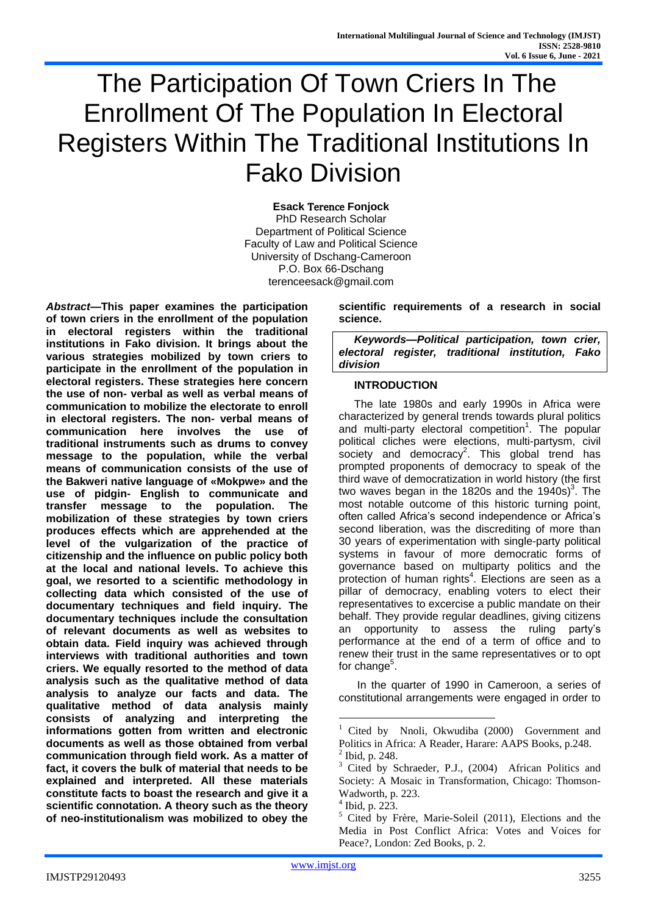# The Participation Of Town Criers In The Enrollment Of The Population In Electoral Registers Within The Traditional Institutions In Fako Division

**Esack** Terence **Fonjock** PhD Research Scholar Department of Political Science Faculty of Law and Political Science University of Dschang-Cameroon P.O. Box 66-Dschang terenceesack@gmail.com

*Abstract***—This paper examines the participation of town criers in the enrollment of the population in electoral registers within the traditional institutions in Fako division. It brings about the various strategies mobilized by town criers to participate in the enrollment of the population in electoral registers. These strategies here concern the use of non- verbal as well as verbal means of communication to mobilize the electorate to enroll in electoral registers. The non- verbal means of communication here involves the use of traditional instruments such as drums to convey message to the population, while the verbal means of communication consists of the use of the Bakweri native language of «Mokpwe» and the use of pidgin- English to communicate and transfer message to the population. The mobilization of these strategies by town criers produces effects which are apprehended at the level of the vulgarization of the practice of citizenship and the influence on public policy both at the local and national levels. To achieve this goal, we resorted to a scientific methodology in collecting data which consisted of the use of documentary techniques and field inquiry. The documentary techniques include the consultation of relevant documents as well as websites to obtain data. Field inquiry was achieved through interviews with traditional authorities and town criers. We equally resorted to the method of data analysis such as the qualitative method of data analysis to analyze our facts and data. The qualitative method of data analysis mainly consists of analyzing and interpreting the informations gotten from written and electronic documents as well as those obtained from verbal communication through field work. As a matter of fact, it covers the bulk of material that needs to be explained and interpreted. All these materials constitute facts to boast the research and give it a scientific connotation. A theory such as the theory of neo-institutionalism was mobilized to obey the** 

**scientific requirements of a research in social science.** 

*Keywords—Political participation, town crier, electoral register, traditional institution, Fako division*

# **INTRODUCTION**

The late 1980s and early 1990s in Africa were characterized by general trends towards plural politics and multi-party electoral competition<sup>1</sup>. The popular political cliches were elections, multi-partysm, civil .<br>society and democracy<sup>2</sup>. This global trend has prompted proponents of democracy to speak of the third wave of democratization in world history (the first two waves began in the 1820s and the 1940s)<sup>3</sup>. The most notable outcome of this historic turning point, often called Africa's second independence or Africa's second liberation, was the discrediting of more than 30 years of experimentation with single-party political systems in favour of more democratic forms of governance based on multiparty politics and the protection of human rights<sup>4</sup>. Elections are seen as a pillar of democracy, enabling voters to elect their representatives to excercise a public mandate on their behalf. They provide regular deadlines, giving citizens an opportunity to assess the ruling party's performance at the end of a term of office and to renew their trust in the same representatives or to opt for change<sup>5</sup>.

In the quarter of 1990 in Cameroon, a series of constitutional arrangements were engaged in order to

 $\overline{\phantom{a}}$ 

Cited by Nnoli, Okwudiba (2000) Government and Politics in Africa: A Reader, Harare: AAPS Books, p.248.  $2^{2}$  Ibid, p. 248.

<sup>&</sup>lt;sup>3</sup> Cited by Schraeder, P.J., (2004) African Politics and Society: A Mosaic in Transformation, Chicago: Thomson-Wadworth, p. 223.

 $4$  Ibid, p. 223.

<sup>5</sup> Cited by Frère, Marie-Soleil (2011), Elections and the Media in Post Conflict Africa: Votes and Voices for Peace?, London: Zed Books, p. 2.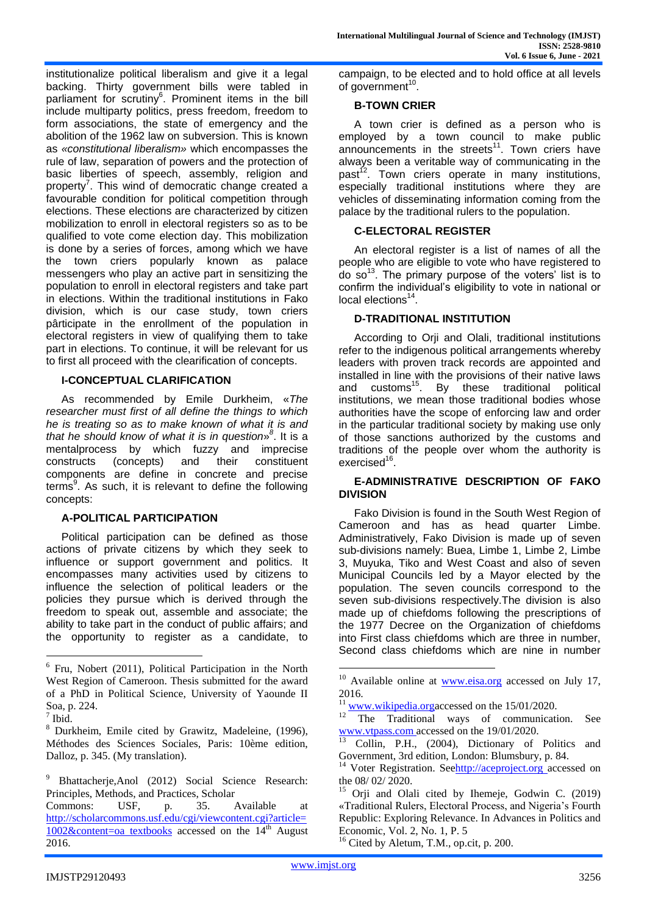institutionalize political liberalism and give it a legal backing. Thirty government bills were tabled in parliament for scrutiny<sup>6</sup>. Prominent items in the bill include multiparty politics, press freedom, freedom to form associations, the state of emergency and the abolition of the 1962 law on subversion. This is known as *«constitutional liberalism»* which encompasses the rule of law, separation of powers and the protection of basic liberties of speech, assembly, religion and property<sup>7</sup>. This wind of democratic change created a favourable condition for political competition through elections. These elections are characterized by citizen mobilization to enroll in electoral registers so as to be qualified to vote come election day. This mobilization is done by a series of forces, among which we have the town criers popularly known as palace messengers who play an active part in sensitizing the population to enroll in electoral registers and take part in elections. Within the traditional institutions in Fako division, which is our case study, town criers pârticipate in the enrollment of the population in electoral registers in view of qualifying them to take part in elections. To continue, it will be relevant for us to first all proceed with the clearification of concepts.

# **I-CONCEPTUAL CLARIFICATION**

As recommended by Emile Durkheim, «*The researcher must first of all define the things to which he is treating so as to make known of what it is and that he should know of what it is in question*» *8* . It is a mentalprocess by which fuzzy and imprecise constructs (concepts) and their constituent components are define in concrete and precise terms<sup>9</sup>. As such, it is relevant to define the following concepts:

# **A-POLITICAL PARTICIPATION**

Political participation can be defined as those actions of private citizens by which they seek to influence or support government and politics. It encompasses many activities used by citizens to influence the selection of political leaders or the policies they pursue which is derived through the freedom to speak out, assemble and associate; the ability to take part in the conduct of public affairs; and the opportunity to register as a candidate, to

campaign, to be elected and to hold office at all levels of government<sup>10</sup>.

## **B-TOWN CRIER**

A town crier is defined as a person who is employed by a town council to make public announcements in the streets<sup>11</sup>. Town criers have always been a veritable way of communicating in the past<sup>12</sup>. Town criers operate in many institutions, especially traditional institutions where they are vehicles of disseminating information coming from the palace by the traditional rulers to the population.

# **C-ELECTORAL REGISTER**

An electoral register is a list of names of all the people who are eligible to vote who have registered to do so<sup>13</sup>. The primary purpose of the voters' list is to confirm the individual's eligibility to vote in national or local elections<sup>14</sup>.

# **D-TRADITIONAL INSTITUTION**

According to Orji and Olali, traditional institutions refer to the indigenous political arrangements whereby leaders with proven track records are appointed and installed in line with the provisions of their native laws and  $customs<sup>15</sup>$ . By these traditional political institutions, we mean those traditional bodies whose authorities have the scope of enforcing law and order in the particular traditional society by making use only of those sanctions authorized by the customs and traditions of the people over whom the authority is exercised<sup>16</sup>.

# **E-ADMINISTRATIVE DESCRIPTION OF FAKO DIVISION**

Fako Division is found in the South West Region of Cameroon and has as head quarter Limbe. Administratively, Fako Division is made up of seven sub-divisions namely: Buea, Limbe 1, Limbe 2, Limbe 3, Muyuka, Tiko and West Coast and also of seven Municipal Councils led by a Mayor elected by the population. The seven councils correspond to the seven sub-divisions respectively.The division is also made up of chiefdoms following the prescriptions of the 1977 Decree on the Organization of chiefdoms into First class chiefdoms which are three in number, Second class chiefdoms which are nine in number

<sup>16</sup> Cited by Aletum, T.M., op.cit, p. 200.

1

<sup>&</sup>lt;sup>6</sup> Fru, Nobert (2011), Political Participation in the North West Region of Cameroon. Thesis submitted for the award of a PhD in Political Science, University of Yaounde II Soa, p. 224.

 $<sup>7</sup>$  Ibid.</sup>

<sup>8</sup> Durkheim, Emile cited by Grawitz, Madeleine, (1996), Méthodes des Sciences Sociales, Paris: 10ème edition, Dalloz, p. 345. (My translation).

<sup>9</sup> Bhattacherje,Anol (2012) Social Science Research: Principles, Methods, and Practices, Scholar

Commons: USF, p. 35. Available at [http://scholarcommons.usf.edu/cgi/viewcontent.cgi?article=](http://scholarcommons.usf.edu/cgi/viewcontent.cgi?article=1002&content=oa%20textbooks)  $1002$ &content=oa textbooks accessed on the  $14<sup>th</sup>$  August 2016.

 $10$  Available online at [www.eisa.org](http://www.eisa.org/) accessed on July 17, 2016.

 $\frac{11}{12}$  [www.wikipedia.orga](http://www.wikipedia.org/)ccessed on the 15/01/2020.

The Traditional ways of communication. See [www.vtpass.com](http://www.vtpass.com/) accessed on the 19/01/2020.

<sup>&</sup>lt;sup>13</sup> Collin, P.H., (2004), Dictionary of Politics and Government, 3rd edition, London: Blumsbury, p. 84.

<sup>&</sup>lt;sup>14</sup> Voter Registration. Se[ehttp://aceproject.org](http://aceproject.org/) accessed on the 08/ 02/ 2020.

<sup>15</sup> Orji and Olali cited by Ihemeje, Godwin C. (2019) «Traditional Rulers, Electoral Process, and Nigeria's Fourth Republic: Exploring Relevance. In Advances in Politics and Economic, Vol. 2, No. 1, P. 5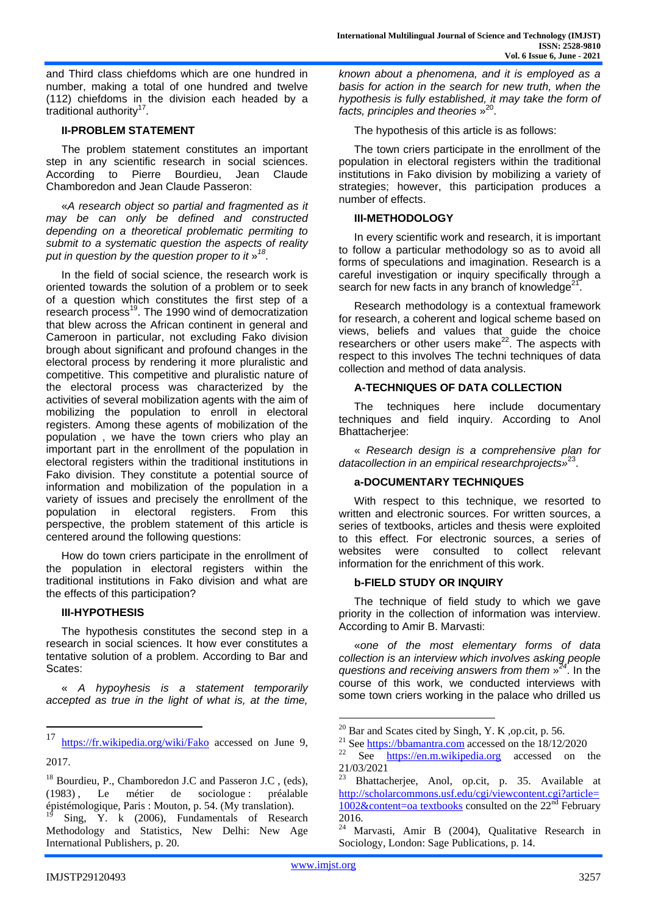and Third class chiefdoms which are one hundred in number, making a total of one hundred and twelve (112) chiefdoms in the division each headed by a traditional authority<sup>17</sup>.

## **II-PROBLEM STATEMENT**

The problem statement constitutes an important step in any scientific research in social sciences. According to Pierre Bourdieu, Jean Claude Chamboredon and Jean Claude Passeron:

«*A research object so partial and fragmented as it may be can only be defined and constructed depending on a theoretical problematic permiting to submit to a systematic question the aspects of reality put in question by the question proper to it* » *18* .<br>.

In the field of social science, the research work is oriented towards the solution of a problem or to seek of a question which constitutes the first step of a research process<sup>19</sup>. The 1990 wind of democratization that blew across the African continent in general and Cameroon in particular, not excluding Fako division brough about significant and profound changes in the electoral process by rendering it more pluralistic and competitive. This competitive and pluralistic nature of the electoral process was characterized by the activities of several mobilization agents with the aim of mobilizing the population to enroll in electoral registers. Among these agents of mobilization of the population , we have the town criers who play an important part in the enrollment of the population in electoral registers within the traditional institutions in Fako division. They constitute a potential source of information and mobilization of the population in a variety of issues and precisely the enrollment of the population in electoral registers. From this perspective, the problem statement of this article is centered around the following questions:

How do town criers participate in the enrollment of the population in electoral registers within the traditional institutions in Fako division and what are the effects of this participation?

#### **III-HYPOTHESIS**

The hypothesis constitutes the second step in a research in social sciences. It how ever constitutes a tentative solution of a problem. According to Bar and Scates:

« *A hypoyhesis is a statement temporarily accepted as true in the light of what is, at the time,* 

*known about a phenomena, and it is employed as a basis for action in the search for new truth, when the hypothesis is fully established, it may take the form of facts, principles and theories* » 20 .

The hypothesis of this article is as follows:

The town criers participate in the enrollment of the population in electoral registers within the traditional institutions in Fako division by mobilizing a variety of strategies; however, this participation produces a number of effects.

## **III-METHODOLOGY**

In every scientific work and research, it is important to follow a particular methodology so as to avoid all forms of speculations and imagination. Research is a careful investigation or inquiry specifically through a search for new facts in any branch of knowledge $^{21}$ .

Research methodology is a contextual framework for research, a coherent and logical scheme based on views, beliefs and values that guide the choice researchers or other users make $^{22}$ . The aspects with respect to this involves The techni techniques of data collection and method of data analysis.

# **A-TECHNIQUES OF DATA COLLECTION**

The techniques here include documentary techniques and field inquiry. According to Anol Bhattacherjee:

« *Research design is a comprehensive plan for datacollection in an empirical researchprojects»*<sup>23</sup> .

## **a-DOCUMENTARY TECHNIQUES**

With respect to this technique, we resorted to written and electronic sources. For written sources, a series of textbooks, articles and thesis were exploited to this effect. For electronic sources, a series of websites were consulted to collect relevant information for the enrichment of this work.

#### **b-FIELD STUDY OR INQUIRY**

The technique of field study to which we gave priority in the collection of information was interview. According to Amir B. Marvasti:

«*one of the most elementary forms of data collection is an interview which involves asking people questions and receiving answers from them* » *24* . In the course of this work, we conducted interviews with some town criers working in the palace who drilled us

 $\overline{\phantom{a}}$ 

<sup>17</sup> <https://fr.wikipedia.org/wiki/Fako> accessed on June 9, 2017.

<sup>&</sup>lt;sup>18</sup> Bourdieu, P., Chamboredon J.C and Passeron J.C , (eds), (1983) , Le métier de sociologue : préalable épistémologique, Paris : Mouton, p. 54. (My translation).

Sing, Y. k (2006), Fundamentals of Research Methodology and Statistics, New Delhi: New Age International Publishers, p. 20.

<sup>&</sup>lt;sup>20</sup> Bar and Scates cited by Singh, Y. K, op.cit, p. 56.

<sup>21</sup> See [https://bbamantra.com](https://bbamantra.com/) accessed on the 18/12/2020

 $22 \nSee$  [https://en.m.wikipedia.org](https://en.m.wikipedia.org/) accessed on the 21/03/2021

 $23 \text{ Bhattacherjee}$ , Anol, op.cit, p. 35. Available at [http://scholarcommons.usf.edu/cgi/viewcontent.cgi?article=](http://scholarcommons.usf.edu/cgi/viewcontent.cgi?article=1002&content=oa%20textbooks)  $1002\&$ content=oa textbooks consulted on the  $22<sup>nd</sup>$  February 2016.

Marvasti, Amir B (2004), Qualitative Research in Sociology, London: Sage Publications, p. 14.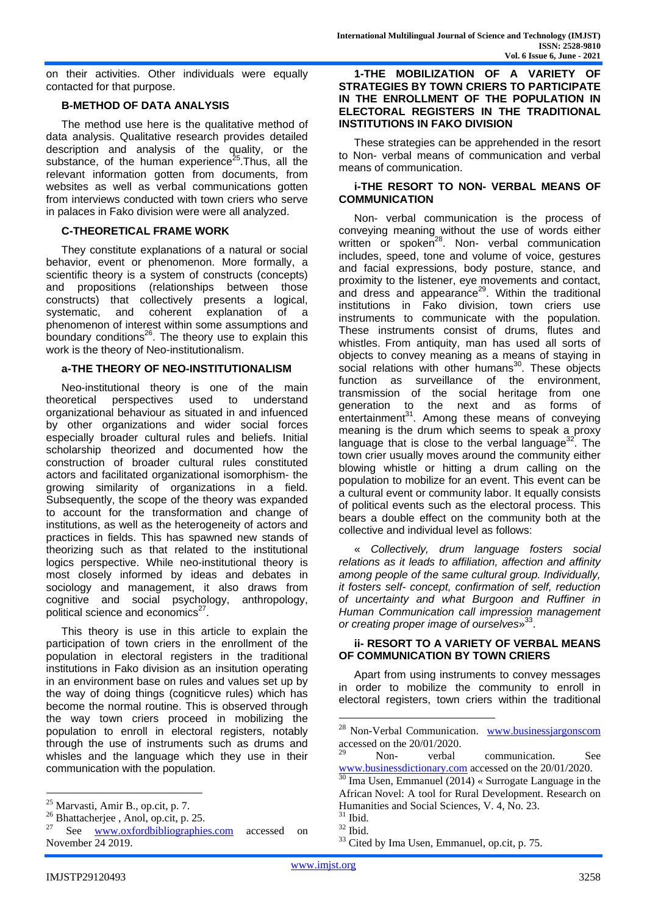on their activities. Other individuals were equally contacted for that purpose.

# **B-METHOD OF DATA ANALYSIS**

The method use here is the qualitative method of data analysis. Qualitative research provides detailed description and analysis of the quality, or the substance, of the human experience<sup>25</sup>. Thus, all the relevant information gotten from documents, from websites as well as verbal communications gotten from interviews conducted with town criers who serve in palaces in Fako division were were all analyzed.

# **C-THEORETICAL FRAME WORK**

They constitute explanations of a natural or social behavior, event or phenomenon. More formally, a scientific theory is a system of constructs (concepts) and propositions (relationships between those constructs) that collectively presents a logical, systematic, and coherent explanation of a phenomenon of interest within some assumptions and boundary conditions $^{26}$ . The theory use to explain this work is the theory of Neo-institutionalism.

## **a-THE THEORY OF NEO-INSTITUTIONALISM**

Neo-institutional theory is one of the main theoretical perspectives used to understand organizational behaviour as situated in and infuenced by other organizations and wider social forces especially broader cultural rules and beliefs. Initial scholarship theorized and documented how the construction of broader cultural rules constituted actors and facilitated organizational isomorphism- the growing similarity of organizations in a field. Subsequently, the scope of the theory was expanded to account for the transformation and change of institutions, as well as the heterogeneity of actors and practices in fields. This has spawned new stands of theorizing such as that related to the institutional logics perspective. While neo-institutional theory is most closely informed by ideas and debates in sociology and management, it also draws from cognitive and social psychology, anthropology, political science and economics<sup>27</sup>.

This theory is use in this article to explain the participation of town criers in the enrollment of the population in electoral registers in the traditional institutions in Fako division as an insitution operating in an environment base on rules and values set up by the way of doing things (cogniticve rules) which has become the normal routine. This is observed through the way town criers proceed in mobilizing the population to enroll in electoral registers, notably through the use of instruments such as drums and whisles and the language which they use in their communication with the population.

## **1-THE MOBILIZATION OF A VARIETY OF STRATEGIES BY TOWN CRIERS TO PARTICIPATE IN THE ENROLLMENT OF THE POPULATION IN ELECTORAL REGISTERS IN THE TRADITIONAL INSTITUTIONS IN FAKO DIVISION**

These strategies can be apprehended in the resort to Non- verbal means of communication and verbal means of communication.

## **i-THE RESORT TO NON- VERBAL MEANS OF COMMUNICATION**

Non- verbal communication is the process of conveying meaning without the use of words either written or spoken<sup>28</sup>. Non- verbal communication includes, speed, tone and volume of voice, gestures and facial expressions, body posture, stance, and proximity to the listener, eye movements and contact, and dress and appearance<sup>29</sup>. Within the traditional institutions in Fako division, town criers use instruments to communicate with the population. These instruments consist of drums, flutes and whistles. From antiquity, man has used all sorts of objects to convey meaning as a means of staying in social relations with other humans<sup>30</sup>. These objects function as surveillance of the environment, transmission of the social heritage from one generation to the next and as forms of entertainment<sup>31</sup>. Among these means of conveying meaning is the drum which seems to speak a proxy language that is close to the verbal language $32$ . The town crier usually moves around the community either blowing whistle or hitting a drum calling on the population to mobilize for an event. This event can be a cultural event or community labor. It equally consists of political events such as the electoral process. This bears a double effect on the community both at the collective and individual level as follows:

« *Collectively, drum language fosters social relations as it leads to affiliation, affection and affinity among people of the same cultural group. Individually, it fosters self- concept, confirmation of self, reduction of uncertainty and what Burgoon and Ruffiner in Human Communication call impression management or creating proper image of ourselves*» 33 .

## **ii- RESORT TO A VARIETY OF VERBAL MEANS OF COMMUNICATION BY TOWN CRIERS**

Apart from using instruments to convey messages in order to mobilize the community to enroll in electoral registers, town criers within the traditional

 $\overline{\phantom{a}}$ 

 $\overline{a}$ 

<sup>25</sup> Marvasti, Amir B., op.cit, p. 7.

 $\frac{26}{27}$  Bhattacherjee, Anol, op.cit, p. 25.

See [www.oxfordbibliographies.com](http://www.oxfordbibliographies.com/) accessed on November 24 2019.

<sup>&</sup>lt;sup>28</sup> Non-Verbal Communication. [www.businessjargonscom](http://www.businessjargonscom/) accessed on the 20/01/2020.

<sup>29</sup> Non- verbal communication. See [www.businessdictionary.com](http://www.businessdictionary.com/) accessed on the 20/01/2020.

 $30$  Ima Usen, Emmanuel (2014) « Surrogate Language in the African Novel: A tool for Rural Development. Research on Humanities and Social Sciences, V. 4, No. 23.

 $31$  Ibid.

 $32$  Ibid.

<sup>&</sup>lt;sup>33</sup> Cited by Ima Usen, Emmanuel, op.cit, p. 75.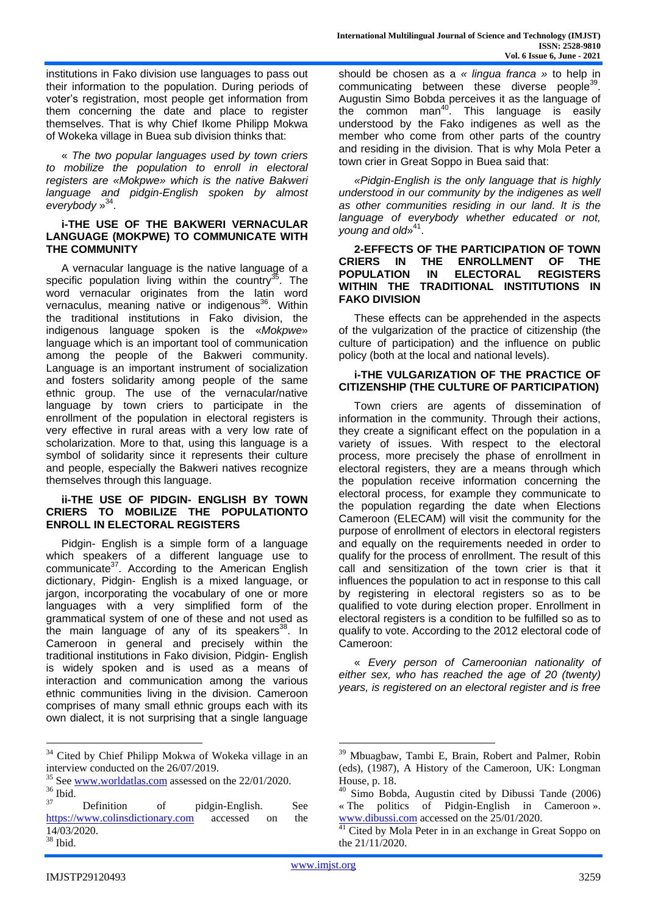institutions in Fako division use languages to pass out their information to the population. During periods of voter's registration, most people get information from them concerning the date and place to register themselves. That is why Chief Ikome Philipp Mokwa of Wokeka village in Buea sub division thinks that:

« *The two popular languages used by town criers to mobilize the population to enroll in electoral registers are «Mokpwe» which is the native Bakweri language and pidgin-English spoken by almost*  everybody<sup>»<sup>34</sup>.</sup>

## **i-THE USE OF THE BAKWERI VERNACULAR LANGUAGE (MOKPWE) TO COMMUNICATE WITH THE COMMUNITY**

A vernacular language is the native language of a specific population living within the country $35$ . The word vernacular originates from the latin word vernaculus, meaning native or indigenous<sup>36</sup>. Within the traditional institutions in Fako division, the indigenous language spoken is the «*Mokpwe*» language which is an important tool of communication among the people of the Bakweri community. Language is an important instrument of socialization and fosters solidarity among people of the same ethnic group. The use of the vernacular/native language by town criers to participate in the enrollment of the population in electoral registers is very effective in rural areas with a very low rate of scholarization. More to that, using this language is a symbol of solidarity since it represents their culture and people, especially the Bakweri natives recognize themselves through this language.

#### **ii-THE USE OF PIDGIN- ENGLISH BY TOWN CRIERS TO MOBILIZE THE POPULATIONTO ENROLL IN ELECTORAL REGISTERS**

Pidgin- English is a simple form of a language which speakers of a different language use to communicate<sup>37</sup>. According to the American English dictionary, Pidgin- English is a mixed language, or jargon, incorporating the vocabulary of one or more languages with a very simplified form of the grammatical system of one of these and not used as the main language of any of its speakers<sup>38</sup>. In Cameroon in general and precisely within the traditional institutions in Fako division, Pidgin- English is widely spoken and is used as a means of interaction and communication among the various ethnic communities living in the division. Cameroon comprises of many small ethnic groups each with its own dialect, it is not surprising that a single language

should be chosen as a *« lingua franca »* to help in communicating between these diverse people<sup>39</sup>. Augustin Simo Bobda perceives it as the language of the common man<sup>40</sup>. This language is easily understood by the Fako indigenes as well as the member who come from other parts of the country and residing in the division. That is why Mola Peter a town crier in Great Soppo in Buea said that:

*«Pidgin-English is the only language that is highly understood in our community by the indigenes as well as other communities residing in our land. It is the language of everybody whether educated or not,*  young and old»<sup>41</sup>.

## **2-EFFECTS OF THE PARTICIPATION OF TOWN CRIERS IN THE ENROLLMENT OF THE POPULATION IN ELECTORAL REGISTERS WITHIN THE TRADITIONAL INSTITUTIONS IN FAKO DIVISION**

These effects can be apprehended in the aspects of the vulgarization of the practice of citizenship (the culture of participation) and the influence on public policy (both at the local and national levels).

# **i-THE VULGARIZATION OF THE PRACTICE OF CITIZENSHIP (THE CULTURE OF PARTICIPATION)**

Town criers are agents of dissemination of information in the community. Through their actions, they create a significant effect on the population in a variety of issues. With respect to the electoral process, more precisely the phase of enrollment in electoral registers, they are a means through which the population receive information concerning the electoral process, for example they communicate to the population regarding the date when Elections Cameroon (ELECAM) will visit the community for the purpose of enrollment of electors in electoral registers and equally on the requirements needed in order to qualify for the process of enrollment. The result of this call and sensitization of the town crier is that it influences the population to act in response to this call by registering in electoral registers so as to be qualified to vote during election proper. Enrollment in electoral registers is a condition to be fulfilled so as to qualify to vote. According to the 2012 electoral code of Cameroon:

« *Every person of Cameroonian nationality of either sex, who has reached the age of 20 (twenty) years, is registered on an electoral register and is free* 

 $\overline{a}$ 

1

<sup>&</sup>lt;sup>34</sup> Cited by Chief Philipp Mokwa of Wokeka village in an interview conducted on the 26/07/2019.

<sup>&</sup>lt;sup>35</sup> See [www.worldatlas.com](http://www.worldatlas.com/) assessed on the 22/01/2020.  $\frac{36}{37}$  Ibid.

Definition of pidgin-English. See [https://www.colinsdictionary.com](https://www.colinsdictionary.com/) accessed on the 14/03/2020. <sup>38</sup> Ibid.

<sup>39</sup> Mbuagbaw, Tambi E, Brain, Robert and Palmer, Robin (eds), (1987), A History of the Cameroon, UK: Longman House, p. 18.

<sup>40</sup> Simo Bobda, Augustin cited by Dibussi Tande (2006) « The politics of Pidgin-English in Cameroon ». [www.dibussi.com](http://www.dibussi.com/) accessed on the 25/01/2020.

Cited by Mola Peter in in an exchange in Great Soppo on the 21/11/2020.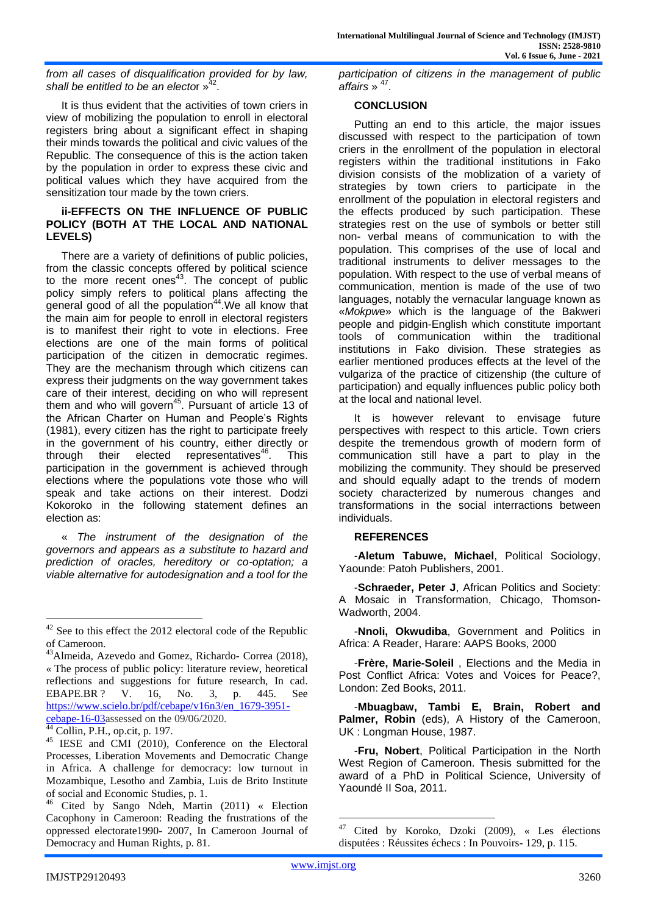*from all cases of disqualification provided for by law,*  shall be entitled to be an elector »<sup>4</sup> .

It is thus evident that the activities of town criers in view of mobilizing the population to enroll in electoral registers bring about a significant effect in shaping their minds towards the political and civic values of the Republic. The consequence of this is the action taken by the population in order to express these civic and political values which they have acquired from the sensitization tour made by the town criers.

## **ii-EFFECTS ON THE INFLUENCE OF PUBLIC POLICY (BOTH AT THE LOCAL AND NATIONAL LEVELS)**

There are a variety of definitions of public policies, from the classic concepts offered by political science to the more recent ones $43$ . The concept of public policy simply refers to political plans affecting the general good of all the population<sup>44</sup>. We all know that the main aim for people to enroll in electoral registers is to manifest their right to vote in elections. Free elections are one of the main forms of political participation of the citizen in democratic regimes. They are the mechanism through which citizens can express their judgments on the way government takes care of their interest, deciding on who will represent them and who will govern<sup>45</sup>. Pursuant of article 13 of the African Charter on Human and People's Rights (1981), every citizen has the right to participate freely in the government of his country, either directly or through their elected representatives<sup>46</sup>. This participation in the government is achieved through elections where the populations vote those who will speak and take actions on their interest. Dodzi Kokoroko in the following statement defines an election as:

« *The instrument of the designation of the governors and appears as a substitute to hazard and prediction of oracles, hereditory or co-optation; a viable alternative for autodesignation and a tool for the* 

*participation of citizens in the management of public affairs* » <sup>47</sup> .

## **CONCLUSION**

Putting an end to this article, the major issues discussed with respect to the participation of town criers in the enrollment of the population in electoral registers within the traditional institutions in Fako division consists of the moblization of a variety of strategies by town criers to participate in the enrollment of the population in electoral registers and the effects produced by such participation. These strategies rest on the use of symbols or better still non- verbal means of communication to with the population. This comprises of the use of local and traditional instruments to deliver messages to the population. With respect to the use of verbal means of communication, mention is made of the use of two languages, notably the vernacular language known as «*Mokpw*e» which is the language of the Bakweri people and pidgin-English which constitute important tools of communication within the traditional institutions in Fako division. These strategies as earlier mentioned produces effects at the level of the vulgariza of the practice of citizenship (the culture of participation) and equally influences public policy both at the local and national level.

It is however relevant to envisage future perspectives with respect to this article. Town criers despite the tremendous growth of modern form of communication still have a part to play in the mobilizing the community. They should be preserved and should equally adapt to the trends of modern society characterized by numerous changes and transformations in the social interractions between individuals.

# **REFERENCES**

-**Aletum Tabuwe, Michael**, Political Sociology, Yaounde: Patoh Publishers, 2001.

-**Schraeder, Peter J**, African Politics and Society: A Mosaic in Transformation, Chicago, Thomson-Wadworth, 2004.

-**Nnoli, Okwudiba**, Government and Politics in Africa: A Reader, Harare: AAPS Books, 2000

-**Frère, Marie-Soleil** , Elections and the Media in Post Conflict Africa: Votes and Voices for Peace?, London: Zed Books, 2011.

-**Mbuagbaw, Tambi E, Brain, Robert and Palmer, Robin** (eds), A History of the Cameroon, UK : Longman House, 1987.

-**Fru, Nobert**, Political Participation in the North West Region of Cameroon. Thesis submitted for the award of a PhD in Political Science, University of Yaoundé II Soa, 2011.

-

<sup>&</sup>lt;sup>42</sup> See to this effect the 2012 electoral code of the Republic of Cameroon.

<sup>&</sup>lt;sup>43</sup>Almeida, Azevedo and Gomez, Richardo- Correa (2018), « The process of public policy: literature review, heoretical reflections and suggestions for future research, In cad. EBAPE.BR ? V. 16, No. 3, p. 445. See [https://www.scielo.br/pdf/cebape/v16n3/en\\_1679-3951](https://www.scielo.br/pdf/cebape/v16n3/en_1679-3951-cebape-16-03) [cebape-16-03a](https://www.scielo.br/pdf/cebape/v16n3/en_1679-3951-cebape-16-03)ssessed on the 09/06/2020.

 $\frac{44}{44}$  Collin, P.H., op.cit, p. 197.

<sup>&</sup>lt;sup>45</sup> IESE and CMI (2010), Conference on the Electoral Processes, Liberation Movements and Democratic Change in Africa. A challenge for democracy: low turnout in Mozambique, Lesotho and Zambia, Luis de Brito Institute of social and Economic Studies, p. 1.

<sup>46</sup> Cited by Sango Ndeh, Martin (2011) « Election Cacophony in Cameroon: Reading the frustrations of the oppressed electorate1990- 2007, In Cameroon Journal of Democracy and Human Rights, p. 81.

<sup>47</sup> Cited by Koroko, Dzoki (2009), « Les élections disputées : Réussites échecs : In Pouvoirs- 129, p. 115.